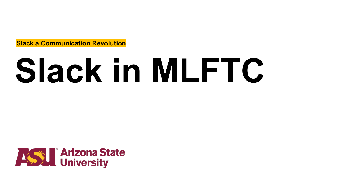**Slack a Communication Revolution**

# **Slack in MLFTC**

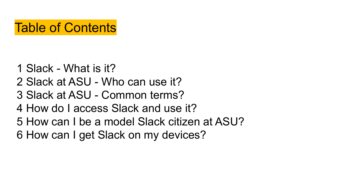# Table of Contents

- 1 Slack What is it?
- 2 Slack at ASU Who can use it?
- 3 Slack at ASU Common terms?
- 4 How do I access Slack and use it?
- 5 How can I be a model Slack citizen at ASU?
- 6 How can I get Slack on my devices?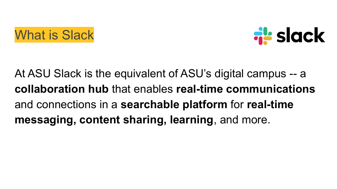



At ASU Slack is the equivalent of ASU's digital campus -- a **collaboration hub** that enables **real-time communications** and connections in a **searchable platform** for **real-time messaging, content sharing, learning**, and more.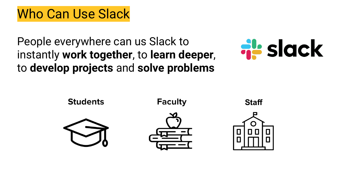# Who Can Use Slack

People everywhere can us Slack to instantly **work together**, to **learn deeper**, to **develop projects** and **solve problems**



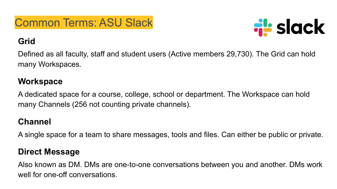### Common Terms: ASU Slack

# **al** slack

#### **Grid**

Defined as all faculty, staff and student users (Active members 29,730). The Grid can hold many Workspaces.

#### **Workspace**

A dedicated space for a course, college, school or department. The Workspace can hold many Channels (256 not counting private channels).

#### **Channel**

A single space for a team to share messages, tools and files. Can either be public or private.

#### **Direct Message**

Also known as DM. DMs are one-to-one conversations between you and another. DMs work well for one-off conversations.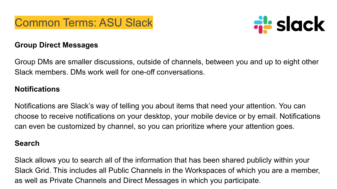



#### **Group Direct Messages**

Group DMs are smaller discussions, outside of channels, between you and up to eight other Slack members. DMs work well for one-off conversations.

#### **Notifications**

Notifications are Slack's way of telling you about items that need your attention. You can choose to receive notifications on your desktop, your mobile device or by email. Notifications can even be customized by channel, so you can prioritize where your attention goes.

#### **Search**

Slack allows you to search all of the information that has been shared publicly within your Slack Grid. This includes all Public Channels in the Workspaces of which you are a member, as well as Private Channels and Direct Messages in which you participate.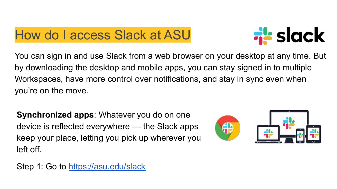## How do I access Slack at ASU



You can sign in and use Slack from a web browser on your desktop at any time. But by downloading the desktop and mobile apps, you can stay signed in to multiple Workspaces, have more control over notifications, and stay in sync even when you're on the move.

**Synchronized apps**: Whatever you do on one device is reflected everywhere — the Slack apps keep your place, letting you pick up wherever you left off.



Step 1: Go to <https://asu.edu/slack>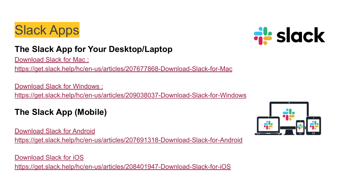# Slack Apps



#### **The Slack App for Your Desktop/Laptop**

[Download Slack for Mac](https://get.slack.help/hc/en-us/articles/207677868-Download-Slack-for-Mac) :

https://get.slack.help/hc/en-us/articles/207677868-Download-Slack-for-Mac

[Download Slack for Windows :](https://get.slack.help/hc/en-us/articles/209038037-Download-Slack-for-Windows)

<https://get.slack.help/hc/en-us/articles/209038037-Download-Slack-for-Windows>

#### **The Slack App (Mobile)**

[Download Slack for Android](https://get.slack.help/hc/en-us/articles/207691318-Download-Slack-for-Android)

<https://get.slack.help/hc/en-us/articles/207691318-Download-Slack-for-Android>

[Download Slack for iOS](https://get.slack.help/hc/en-us/articles/208401947-Download-Slack-for-iOS) <https://get.slack.help/hc/en-us/articles/208401947-Download-Slack-for-iOS>